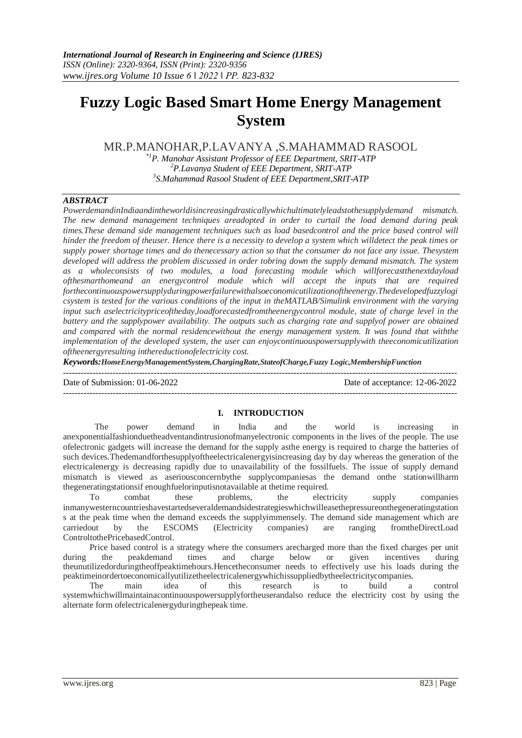# **Fuzzy Logic Based Smart Home Energy Management System**

MR.P.MANOHAR,P.LAVANYA ,S.MAHAMMAD RASOOL

*\*1P. Manohar Assistant Professor of EEE Department, SRIT-ATP <sup>2</sup>P.Lavanya Student of EEE Department, SRIT-ATP 3 S.Mahammad Rasool Student of EEE Department,SRIT-ATP*

## *ABSTRACT*

*PowerdemandinIndiaandintheworldisincreasingdrasticallywhichultimatelyleadstothesupplydemand mismatch. The new demand management techniques areadopted in order to curtail the load demand during peak times.These demand side management techniques such as load basedcontrol and the price based control will hinder the freedom of theuser. Hence there is a necessity to develop a system which willdetect the peak times or supply power shortage times and do thenecessary action so that the consumer do not face any issue. Thesystem developed will address the problem discussed in order tobring down the supply demand mismatch. The system as a wholeconsists of two modules, a load forecasting module which willforecastthenextdayload ofthesmarthomeand an energycontrol module which will accept the inputs that are required forthecontinuouspowersupplyduringpowerfailurewithalsoeconomicutilizationoftheenergy.Thedevelopedfuzzylogi csystem is tested for the various conditions of the input in theMATLAB/Simulink environment with the varying input such aselectricitypriceoftheday,loadforecastedfromtheenergycontrol module, state of charge level in the battery and the supplypower availability. The outputs such as charging rate and supplyof power are obtained and compared with the normal residencewithout the energy management system. It was found that withthe implementation of the developed system, the user can enjoycontinuouspowersupplywith theeconomicutilization oftheenergyresulting inthereductionofelectricity cost.*

*Keywords:HomeEnergyManagementSystem,ChargingRate,StateofCharge,Fuzzy Logic,MembershipFunction*

 $-1.1$ 

Date of Submission: 01-06-2022 Date of acceptance: 12-06-2022

### **I. INTRODUCTION**

---------------------------------------------------------------------------------------------------------------------------------------

The power demand in India and the world is increasing in anexponentialfashionduetheadventandintrusionofmanyelectronic components in the lives of the people. The use ofelectronic gadgets will increase the demand for the supply asthe energy is required to charge the batteries of such devices.Thedemandforthesupplyoftheelectricalenergyisincreasing day by day whereas the generation of the electricalenergy is decreasing rapidly due to unavailability of the fossilfuels. The issue of supply demand mismatch is viewed as aseriousconcernbythe supplycompaniesas the demand onthe stationwillharm thegeneratingstationsif enoughfuelorinputisnotavailable at thetime required.

To combat these problems, the electricity supply companies inmanywesterncountrieshavestartedseveraldemandsidestrategieswhichwilleasethepressureonthegeneratingstation s at the peak time when the demand exceeds the supplyimmensely. The demand side management which are carriedout by the ESCOMS (Electricity companies) are ranging fromtheDirectLoad ControltothePricebasedControl.

Price based control is a strategy where the consumers arecharged more than the fixed charges per unit the peakdemand times and charge below or given incentives during during the peakdemand times and charge below or theunutilizedorduringtheoffpeaktimehours.Hencetheconsumer needs to effectively use his loads during the peaktimeinordertoeconomicallyutilizetheelectricalenergywhichissuppliedbytheelectricitycompanies.

The main idea of this research is to build a control systemwhichwillmaintainacontinuouspowersupplyfortheuserandalso reduce the electricity cost by using the alternate form ofelectricalenergyduringthepeak time.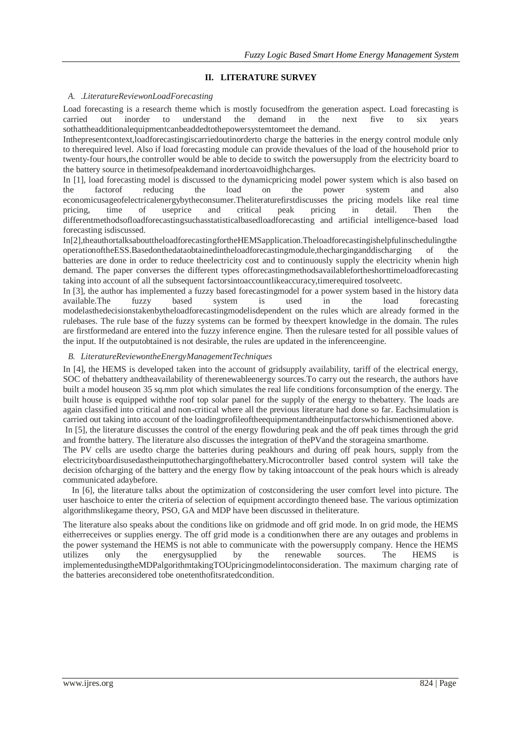## **II. LITERATURE SURVEY**

#### *A.* .*LiteratureReviewonLoadForecasting*

Load forecasting is a research theme which is mostly focusedfrom the generation aspect. Load forecasting is carried out inorder to understand the demand in the next five to six years sothattheadditionalequipmentcanbeaddedtothepowersystemtomeet the demand.

Inthepresentcontext,loadforecastingiscarriedoutinorderto charge the batteries in the energy control module only to therequired level. Also if load forecasting module can provide thevalues of the load of the household prior to twenty-four hours,the controller would be able to decide to switch the powersupply from the electricity board to the battery source in thetimesofpeakdemand inordertoavoidhighcharges.

In [1], load forecasting model is discussed to the dynamicpricing model power system which is also based on the factorof reducing the load on the power system and also economicusageofelectricalenergybytheconsumer.Theliteraturefirstdiscusses the pricing models like real time pricing, time of useprice and critical peak pricing in detail. Then the differentmethodsofloadforecastingsuchasstatisticalbasedloadforecasting and artificial intelligence-based load forecasting isdiscussed.

In[2],theauthortalksabouttheloadforecastingfortheHEMSapplication.Theloadforecastingishelpfulinschedulingthe operationoftheESS.Basedonthedataobtainedintheloadforecastingmodule,thecharginganddischarging of the batteries are done in order to reduce theelectricity cost and to continuously supply the electricity whenin high demand. The paper converses the different types offorecastingmethodsavailablefortheshorttimeloadforecasting taking into account of all the subsequent factorsintoaccountlikeaccuracy,timerequired tosolveetc.

In [3], the author has implemented a fuzzy based forecastingmodel for a power system based in the history data available.The fuzzy based system is used in the load forecasting modelasthedecisionstakenbytheloadforecastingmodelisdependent on the rules which are already formed in the rulebases. The rule base of the fuzzy systems can be formed by theexpert knowledge in the domain. The rules are firstformedand are entered into the fuzzy inference engine. Then the rulesare tested for all possible values of the input. If the outputobtained is not desirable, the rules are updated in the inferenceengine.

#### *B. LiteratureReviewontheEnergyManagementTechniques*

In [4], the HEMS is developed taken into the account of gridsupply availability, tariff of the electrical energy, SOC of thebattery andtheavailability of therenewableenergy sources.To carry out the research, the authors have built a model houseon 35 sq.mm plot which simulates the real life conditions forconsumption of the energy. The built house is equipped withthe roof top solar panel for the supply of the energy to thebattery. The loads are again classified into critical and non-critical where all the previous literature had done so far. Eachsimulation is carried out taking into account of the loadingprofileoftheequipmentandtheinputfactorswhichismentioned above.

In [5], the literature discusses the control of the energy flowduring peak and the off peak times through the grid and fromthe battery. The literature also discusses the integration of thePVand the storageina smarthome.

The PV cells are usedto charge the batteries during peakhours and during off peak hours, supply from the electricityboardisusedastheinputtothechargingofthebattery.Microcontroller based control system will take the decision ofcharging of the battery and the energy flow by taking intoaccount of the peak hours which is already communicated adaybefore.

In [6], the literature talks about the optimization of costconsidering the user comfort level into picture. The user haschoice to enter the criteria of selection of equipment accordingto theneed base. The various optimization algorithmslikegame theory, PSO, GA and MDP have been discussed in theliterature.

The literature also speaks about the conditions like on gridmode and off grid mode. In on grid mode, the HEMS eitherreceives or supplies energy. The off grid mode is a conditionwhen there are any outages and problems in the power systemand the HEMS is not able to communicate with the powersupply company. Hence the HEMS utilizes only the energysupplied by the renewable sources. The HEMS is implementedusingtheMDPalgorithmtakingTOUpricingmodelintoconsideration. The maximum charging rate of the batteries areconsidered tobe onetenthofitsratedcondition.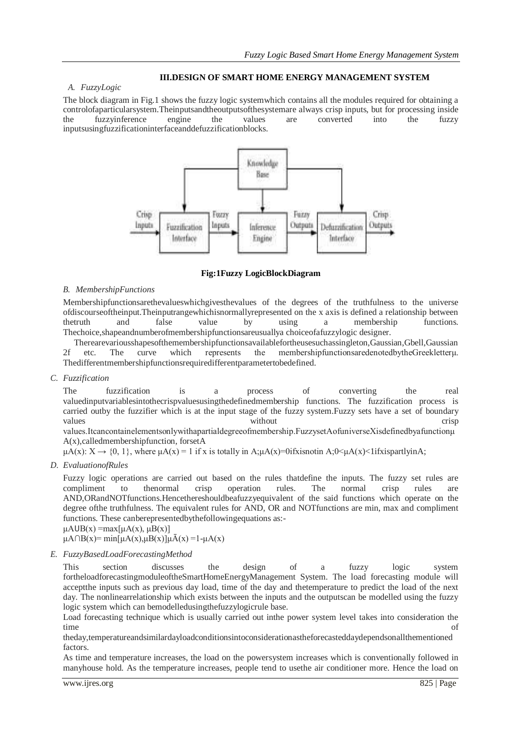### **III.DESIGN OF SMART HOME ENERGY MANAGEMENT SYSTEM**

#### *A. FuzzyLogic*

The block diagram in Fig.1 shows the fuzzy logic systemwhich contains all the modules required for obtaining a controlofaparticularsystem.Theinputsandtheoutputsofthesystemare always crisp inputs, but for processing inside the fuzzyinference engine the values are converted into the fuzzy inputsusingfuzzificationinterfaceanddefuzzificationblocks.



#### **Fig:1Fuzzy LogicBlockDiagram**

#### *B. MembershipFunctions*

Membershipfunctionsarethevalueswhichgivesthevalues of the degrees of the truthfulness to the universe ofdiscourseoftheinput.Theinputrangewhichisnormallyrepresented on the x axis is defined a relationship between thetruth and false value by using a membership functions. Thechoice,shapeandnumberofmembershipfunctionsareusuallya choiceofafuzzylogic designer.

Therearevariousshapesofthemembershipfunctionsavailablefortheusesuchassingleton,Gaussian,Gbell,Gaussian 2f etc. The curve which represents the membershipfunctionsaredenotedbytheGreekletterμ. Thedifferentmembershipfunctionsrequiredifferentparametertobedefined.

### *C. Fuzzification*

The fuzzification is a process of converting the real valuedinputvariablesintothecrispvaluesusingthedefinedmembership functions. The fuzzification process is carried outby the fuzzifier which is at the input stage of the fuzzy system.Fuzzy sets have a set of boundary values without crisp values without crisp values without crisp values.Itcancontainelementsonlywithapartialdegreeofmembership.FuzzysetAofuniverseXisdefinedbyafunctionμ

A(x),calledmembershipfunction, forsetA

 $\mu$ A(x): X  $\rightarrow$  {0, 1}, where  $\mu$ A(x) = 1 if x is totally in A; $\mu$ A(x)=0ifxisnotin A; $0 \le \mu$ A(x)<1ifxispartlyinA;

*D. EvaluationofRules*

Fuzzy logic operations are carried out based on the rules thatdefine the inputs. The fuzzy set rules are compliment to thenormal crisp operation rules. The normal crisp rules are AND,ORandNOTfunctions.Hencethereshouldbeafuzzyequivalent of the said functions which operate on the degree ofthe truthfulness. The equivalent rules for AND, OR and NOTfunctions are min, max and compliment functions. These canberepresentedbythefollowingequations as:-

 $\mu A \cup B(x) = max[\mu A(x), \mu B(x)]$ 

 $\mu A \cap B(x) = \min[\mu A(x), \mu B(x)] \mu \bar{A}(x) = 1 - \mu A(x)$ 

#### *E. FuzzyBasedLoadForecastingMethod*

This section discusses the design of a fuzzy logic system fortheloadforecastingmoduleoftheSmartHomeEnergyManagement System. The load forecasting module will acceptthe inputs such as previous day load, time of the day and thetemperature to predict the load of the next day. The nonlinearrelationship which exists between the inputs and the outputscan be modelled using the fuzzy logic system which can bemodelledusingthefuzzylogicrule base.

Load forecasting technique which is usually carried out inthe power system level takes into consideration the time of  $\overline{\phantom{a}}$ 

theday,temperatureandsimilardayloadconditionsintoconsiderationastheforecasteddaydependsonallthementioned factors.

As time and temperature increases, the load on the powersystem increases which is conventionally followed in manyhouse hold. As the temperature increases, people tend to usethe air conditioner more. Hence the load on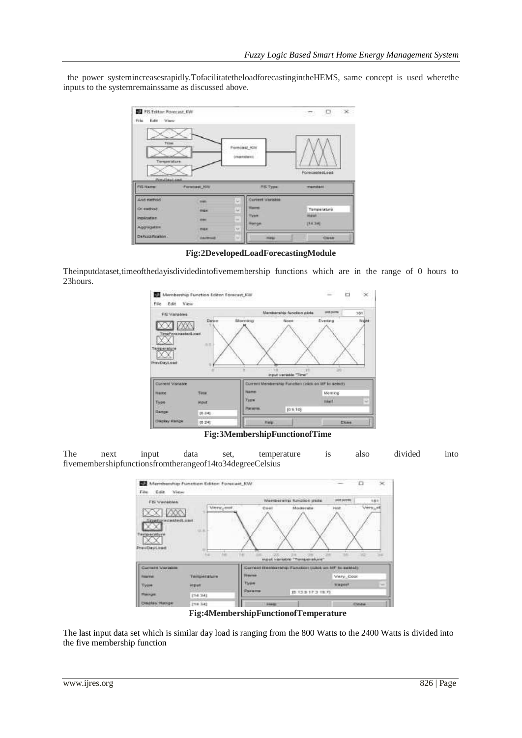the power systemincreasesrapidly.TofacilitatetheloadforecastingintheHEMS, same concept is used wherethe inputs to the systemremainssame as discussed above.



**Fig:2DevelopedLoadForecastingModule**

Theinputdataset,timeofthedayisdividedintofivemembership functions which are in the range of 0 hours to 23hours.



**Fig:3MembershipFunctionofTime**

The next input data set, temperature is also divided into fivemembershipfunctionsfromtherangeof14to34degreeCelsius



**Fig:4MembershipFunctionofTemperature**

The last input data set which is similar day load is ranging from the 800 Watts to the 2400 Watts is divided into the five membership function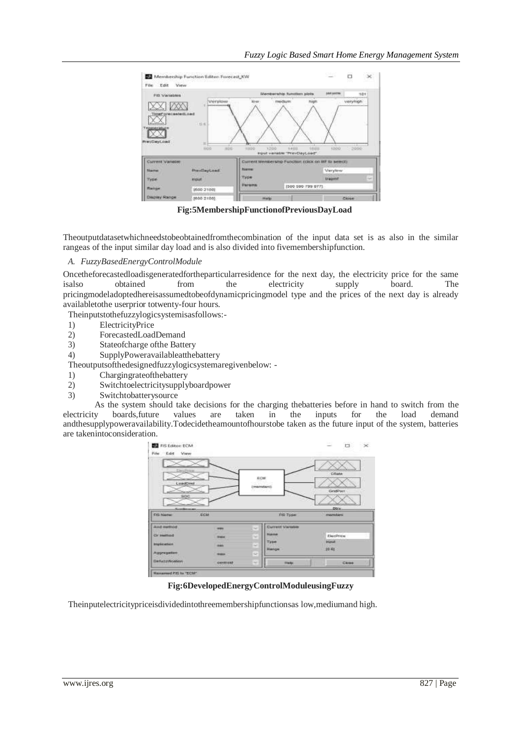

 **Fig:5MembershipFunctionofPreviousDayLoad**

Theoutputdatasetwhichneedstobeobtainedfromthecombination of the input data set is as also in the similar rangeas of the input similar day load and is also divided into fivemembershipfunction.

## *A. FuzzyBasedEnergyControlModule*

Oncetheforecastedloadisgeneratedfortheparticularresidence for the next day, the electricity price for the same<br>isalso obtained from the electricity supply board. The isalso obtained from the electricity supply board. The pricingmodeladoptedhereisassumedtobeofdynamicpricingmodel type and the prices of the next day is already availabletothe userprior totwenty-four hours.

Theinputstothefuzzylogicsystemisasfollows:-

- 1) ElectricityPrice
- 2) ForecastedLoadDemand
- 3) Stateofcharge ofthe Battery
- 4) SupplyPoweravailableatthebattery
- Theoutputsofthedesignedfuzzylogicsystemaregivenbelow: -
- 1) Chargingrateofthebattery
- 2) Switchtoelectricitysupplyboardpower
- 3) Switchtobatterysource

As the system should take decisions for the charging the batteries before in hand to switch from the boards, future values are taken in the inputs for the load demand electricity boards,future values are taken in the inputs for the load demand andthesupplypoweravailability.Todecidetheamountofhourstobe taken as the future input of the system, batteries are takenintoconsideration.



**Fig:6DevelopedEnergyControlModuleusingFuzzy**

Theinputelectricitypriceisdividedintothreemembershipfunctionsas low,mediumand high.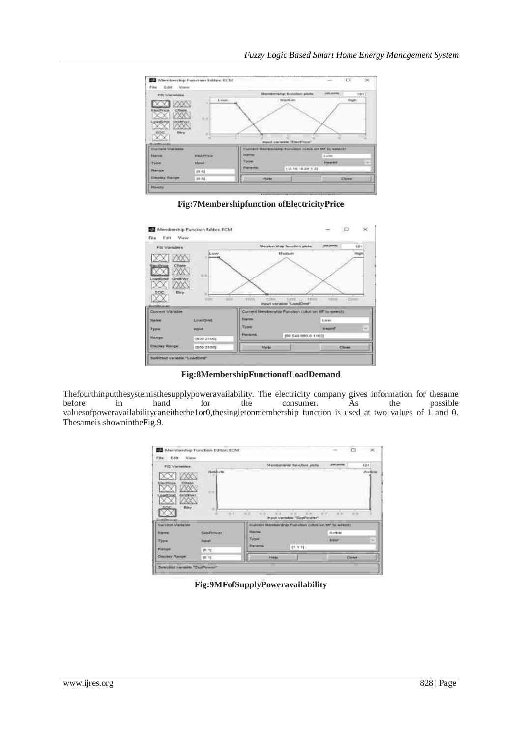

**Fig:7Membershipfunction ofElectricityPrice**



**Fig:8MembershipFunctionofLoadDemand**

Thefourthinputthesystemisthesupplypoweravailability. The electricity company gives information for thesame<br>before in hand for the consumer. As the possible before in hand for the consumer. As the possible valuesofpoweravailabilitycaneitherbe1or0,thesingletonmembership function is used at two values of 1 and 0. Thesameis shownintheFig.9.

| FIS Variables                          |                   |                      | Membership function plots.                           | provi controlle. |       | 101     |
|----------------------------------------|-------------------|----------------------|------------------------------------------------------|------------------|-------|---------|
|                                        | Noteville<br>1264 |                      |                                                      |                  |       | Avalian |
| <b>CRAIN</b><br><b><i>INCPERIA</i></b> |                   |                      |                                                      |                  |       |         |
|                                        |                   |                      |                                                      |                  |       |         |
|                                        | 1.1               |                      |                                                      |                  |       |         |
| <b>GridFiwi</b><br><b>Jerse</b>        |                   |                      |                                                      |                  |       |         |
|                                        |                   |                      |                                                      |                  |       |         |
| SOC<br>Btry                            | ٠                 |                      |                                                      |                  |       |         |
| $\overline{\text{2}}$                  | 0.9               | 9.2<br>DOM:<br>41.41 | $10 - 40$<br>8.50<br>input vertable."SupPawer"       | ALC UP<br>25     | te to |         |
| Current Variatie                       |                   |                      | Current Mexiconship Fundion (chick on MF in select): |                  |       |         |
| <b>Hisma</b>                           | SupPower          | <b>REARFING</b>      |                                                      | Avisie           |       |         |
|                                        | <b>MAGNET</b>     | Тури                 |                                                      | <b>Kramf</b>     |       | u       |
| $79$ ne<br>Ranger                      | $19 - 71$         | Parama               | <b>CONTRACTOR</b><br>11 1 11                         |                  |       |         |

**Fig:9MFofSupplyPoweravailability**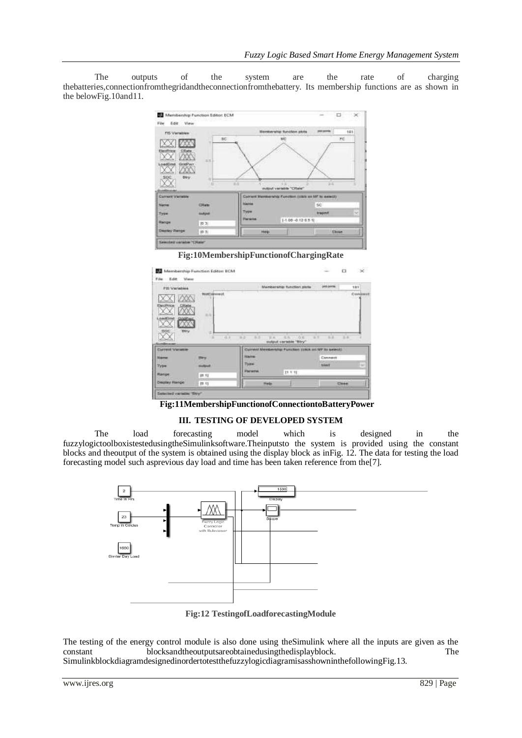The outputs of the system are the rate of charging thebatteries,connectionfromthegridandtheconnectionfromthebattery. Its membership functions are as shown in the belowFig.10and11.



**Fig:10MembershipFunctionofChargingRate**

| <b>FIS Variables</b>                                            |                                     |                         | Manbership function plate                             | per porma          | tat      |
|-----------------------------------------------------------------|-------------------------------------|-------------------------|-------------------------------------------------------|--------------------|----------|
| ElecPrice<br><b>CRate</b><br><b>CEO/MPage</b><br><b>GAICINE</b> | NotCommot.<br>003 FTL 10<br>百压<br>m |                         |                                                       |                    | Continut |
| <b>Hitry:</b><br>80C                                            | d<br>0.1                            | 当正<br>$3 - 2$<br>\$1.40 | $-1.5$<br>收回<br>exhaut variable "Biry"                | 当正<br>$\mathbb{R}$ | 3.5      |
| Claremed Variation                                              |                                     |                         | Current Membership Function (clock on MF its select). |                    |          |
| <b>Marron</b>                                                   | <b>Citry</b>                        | <b>MAINE</b>            |                                                       | Cennedi            |          |
|                                                                 | <b>Bustain</b>                      | Type                    |                                                       | ---<br>trient      | w        |
| Type.<br>Range                                                  | 排 打                                 | Parama                  | 27.7.91                                               |                    |          |

**Fig:11MembershipFunctionofConnectiontoBatteryPower**

## **III. TESTING OF DEVELOPED SYSTEM**

The load forecasting model which is designed in the fuzzylogictoolboxistestedusingtheSimulinksoftware.Theinputsto the system is provided using the constant blocks and theoutput of the system is obtained using the display block as inFig. 12. The data for testing the load forecasting model such asprevious day load and time has been taken reference from the[7].



**Fig:12 TestingofLoadforecastingModule**

The testing of the energy control module is also done using theSimulink where all the inputs are given as the constant blocksandtheoutputsareobtainedusingthedisplayblock. The

SimulinkblockdiagramdesignedinordertotestthefuzzylogicdiagramisasshowninthefollowingFig.13.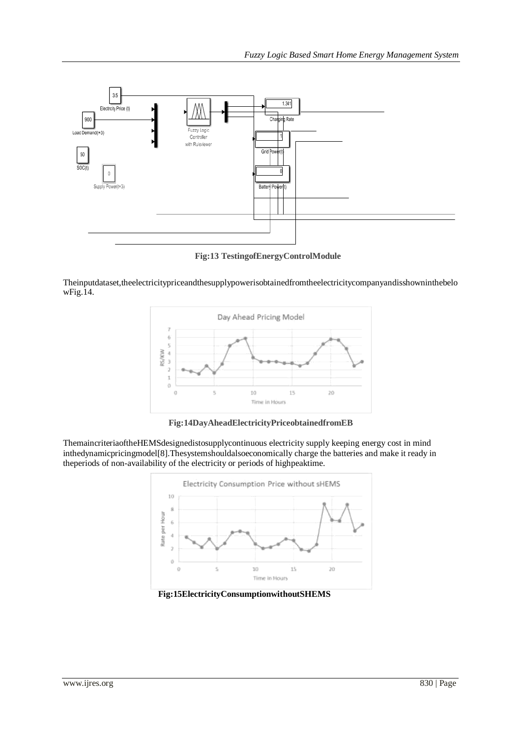

**Fig:13 TestingofEnergyControlModule**

Theinputdataset,theelectricitypriceandthesupplypowerisobtainedfromtheelectricitycompanyandisshowninthebelo wFig.14.



**Fig:14DayAheadElectricityPriceobtainedfromEB**

ThemaincriteriaoftheHEMSdesignedistosupplycontinuous electricity supply keeping energy cost in mind inthedynamicpricingmodel[8].Thesystemshouldalsoeconomically charge the batteries and make it ready in theperiods of non-availability of the electricity or periods of highpeaktime.



 **Fig:15ElectricityConsumptionwithoutSHEMS**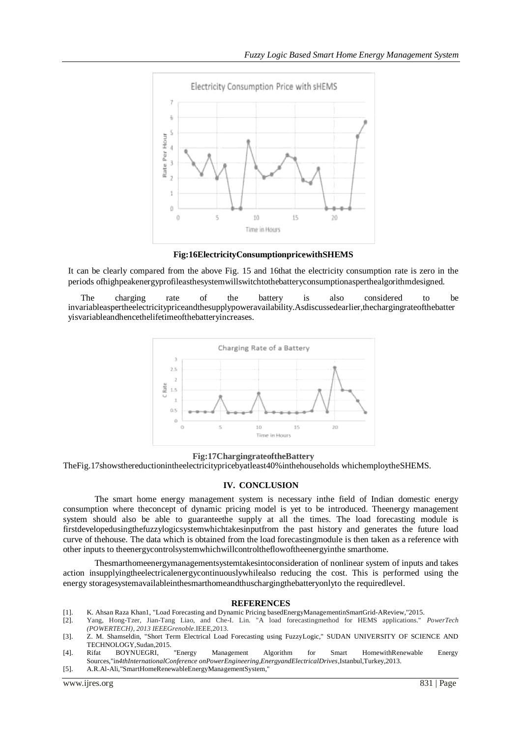

**Fig:16ElectricityConsumptionpricewithSHEMS**

It can be clearly compared from the above Fig. 15 and 16that the electricity consumption rate is zero in the periods ofhighpeakenergyprofileasthesystemwillswitchtothebatteryconsumptionasperthealgorithmdesigned.

The charging rate of the battery is also considered to be invariableaspertheelectricitypriceandthesupplypoweravailability.Asdiscussedearlier,thechargingrateofthebatter yisvariableandhencethelifetimeofthebatteryincreases.



#### **Fig:17ChargingrateoftheBattery**

TheFig.17showsthereductionintheelectricitypricebyatleast40%inthehouseholds whichemploytheSHEMS.

#### **IV. CONCLUSION**

The smart home energy management system is necessary inthe field of Indian domestic energy consumption where theconcept of dynamic pricing model is yet to be introduced. Theenergy management system should also be able to guaranteethe supply at all the times. The load forecasting module is firstdevelopedusingthefuzzylogicsystemwhichtakesinputfrom the past history and generates the future load curve of thehouse. The data which is obtained from the load forecastingmodule is then taken as a reference with other inputs to theenergycontrolsystemwhichwillcontroltheflowoftheenergyinthe smarthome.

Thesmarthomeenergymanagementsystemtakesintoconsideration of nonlinear system of inputs and takes action insupplyingtheelectricalenergycontinuouslywhilealso reducing the cost. This is performed using the energy storagesystemavailableinthesmarthomeandthuschargingthebatteryonlyto the requiredlevel.

#### **REFERENCES**

- [1]. K. Ahsan Raza Khan1, "Load Forecasting and Dynamic Pricing basedEnergyManagementinSmartGrid-AReview,"2015.
- [2]. Yang, Hong-Tzer, Jian-Tang Liao, and Che-I. Lin. "A load forecastingmethod for HEMS applications." *PowerTech (POWERTECH), 2013 IEEEGrenoble*.IEEE,2013.
- [3]. Z. M. Shamseldin, "Short Term Electrical Load Forecasting using FuzzyLogic," SUDAN UNIVERSITY OF SCIENCE AND TECHNOLOGY,Sudan,2015.
- [4]. Rifat BOYNUEGRI, "Energy Management Algorithm for Smart HomewithRenewable Energy Sources,"in*4thInternationalConference onPowerEngineering,EnergyandElectricalDrives*,Istanbul,Turkey,2013.
- [5]. A.R.Al-Ali,"SmartHomeRenewableEnergyManagementSystem,"